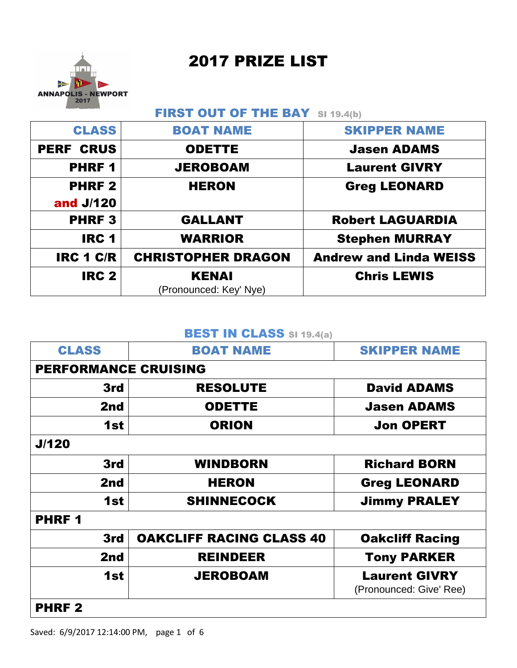2017 PRIZE LIST



# FIRST OUT OF THE BAY SI 19.4(b)

| <b>CLASS</b>     | <b>BOAT NAME</b>          | <b>SKIPPER NAME</b>           |
|------------------|---------------------------|-------------------------------|
| <b>PERF CRUS</b> | <b>ODETTE</b>             | <b>Jasen ADAMS</b>            |
| <b>PHRF1</b>     | <b>JEROBOAM</b>           | <b>Laurent GIVRY</b>          |
| <b>PHRF2</b>     | <b>HERON</b>              | <b>Greg LEONARD</b>           |
| and J/120        |                           |                               |
| <b>PHRF3</b>     | <b>GALLANT</b>            | <b>Robert LAGUARDIA</b>       |
| <b>IRC 1</b>     | <b>WARRIOR</b>            | <b>Stephen MURRAY</b>         |
| <b>IRC 1 C/R</b> | <b>CHRISTOPHER DRAGON</b> | <b>Andrew and Linda WEISS</b> |
| <b>IRC 2</b>     | <b>KENAI</b>              | <b>Chris LEWIS</b>            |
|                  | (Pronounced: Key' Nye)    |                               |

#### **BEST IN CLASS SI 19.4(a)**

| <b>CLASS</b>                | <b>BOAT NAME</b>                | <b>SKIPPER NAME</b>                             |
|-----------------------------|---------------------------------|-------------------------------------------------|
| <b>PERFORMANCE CRUISING</b> |                                 |                                                 |
| 3rd                         | <b>RESOLUTE</b>                 | <b>David ADAMS</b>                              |
| 2nd                         | <b>ODETTE</b>                   | <b>Jasen ADAMS</b>                              |
| 1st                         | <b>ORION</b>                    | <b>Jon OPERT</b>                                |
| J/120                       |                                 |                                                 |
| 3rd                         | <b>WINDBORN</b>                 | <b>Richard BORN</b>                             |
| 2nd                         | <b>HERON</b>                    | <b>Greg LEONARD</b>                             |
| 1st                         | <b>SHINNECOCK</b>               | <b>Jimmy PRALEY</b>                             |
| <b>PHRF1</b>                |                                 |                                                 |
| 3rd                         | <b>OAKCLIFF RACING CLASS 40</b> | <b>Oakcliff Racing</b>                          |
| 2nd                         | <b>REINDEER</b>                 | <b>Tony PARKER</b>                              |
| 1st                         | <b>JEROBOAM</b>                 | <b>Laurent GIVRY</b><br>(Pronounced: Give' Ree) |
| <b>PHRF2</b>                |                                 |                                                 |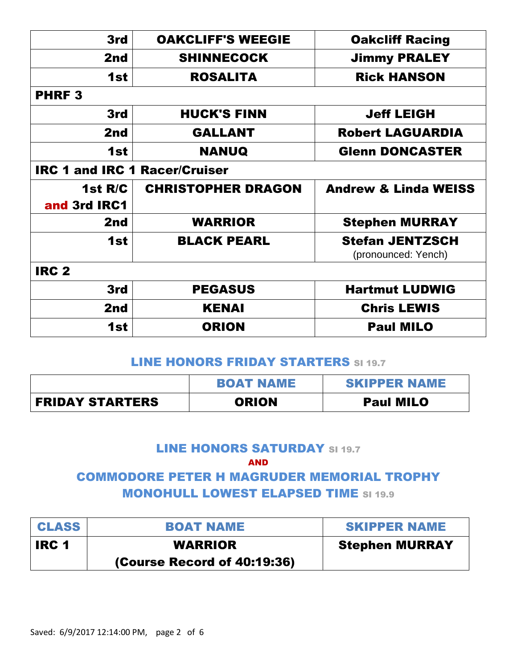| 3rd                                  | <b>OAKCLIFF'S WEEGIE</b>  | <b>Oakcliff Racing</b>                        |  |
|--------------------------------------|---------------------------|-----------------------------------------------|--|
| 2nd                                  | <b>SHINNECOCK</b>         | <b>Jimmy PRALEY</b>                           |  |
| 1st                                  | <b>ROSALITA</b>           | <b>Rick HANSON</b>                            |  |
| <b>PHRF3</b>                         |                           |                                               |  |
| 3rd                                  | <b>HUCK'S FINN</b>        | <b>Jeff LEIGH</b>                             |  |
| 2nd                                  | <b>GALLANT</b>            | <b>Robert LAGUARDIA</b>                       |  |
| 1st                                  | <b>NANUQ</b>              | <b>Glenn DONCASTER</b>                        |  |
| <b>IRC 1 and IRC 1 Racer/Cruiser</b> |                           |                                               |  |
| 1st R/C<br>and 3rd IRC1              | <b>CHRISTOPHER DRAGON</b> | <b>Andrew &amp; Linda WEISS</b>               |  |
| 2nd                                  | <b>WARRIOR</b>            | <b>Stephen MURRAY</b>                         |  |
| 1st                                  | <b>BLACK PEARL</b>        | <b>Stefan JENTZSCH</b><br>(pronounced: Yench) |  |
| <b>IRC 2</b>                         |                           |                                               |  |
| 3rd                                  | <b>PEGASUS</b>            | <b>Hartmut LUDWIG</b>                         |  |
| 2nd                                  | <b>KENAI</b>              | <b>Chris LEWIS</b>                            |  |
| 1st                                  | <b>ORION</b>              | <b>Paul MILO</b>                              |  |

## LINE HONORS FRIDAY STARTERS SI 19.7

|                        | <b>BOAT NAME</b> | <b>SKIPPER NAME</b> |
|------------------------|------------------|---------------------|
| <b>FRIDAY STARTERS</b> | <b>ORION</b>     | <b>Paul MILO</b>    |

# LINE HONORS SATURDAY SI 19.7

AND

# COMMODORE PETER H MAGRUDER MEMORIAL TROPHY MONOHULL LOWEST ELAPSED TIME SI 19.9

| <b>CLASS</b> | <b>BOAT NAME</b>            | <b>SKIPPER NAME</b>   |
|--------------|-----------------------------|-----------------------|
| <b>IRC1</b>  | <b>WARRIOR</b>              | <b>Stephen MURRAY</b> |
|              | (Course Record of 40:19:36) |                       |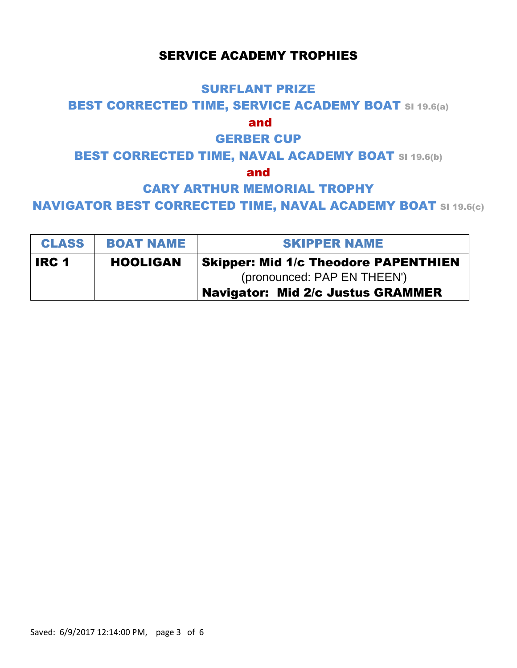## SERVICE ACADEMY TROPHIES

#### SURFLANT PRIZE

#### **BEST CORRECTED TIME, SERVICE ACADEMY BOAT SI 19.6(a)**

#### and

# GERBER CUP

# BEST CORRECTED TIME, NAVAL ACADEMY BOAT SI 19.6(b)

#### and

# CARY ARTHUR MEMORIAL TROPHY

#### NAVIGATOR BEST CORRECTED TIME, NAVAL ACADEMY BOAT SI 19.6(c)

| <b>CLASS</b> | <b>BOAT NAME</b> | <b>SKIPPER NAME</b>                                                        |  |
|--------------|------------------|----------------------------------------------------------------------------|--|
| <b>IRC 1</b> | <b>HOOLIGAN</b>  | <b>Skipper: Mid 1/c Theodore PAPENTHIEN</b><br>(pronounced: PAP EN THEEN') |  |
|              |                  | <b>Navigator: Mid 2/c Justus GRAMMER</b>                                   |  |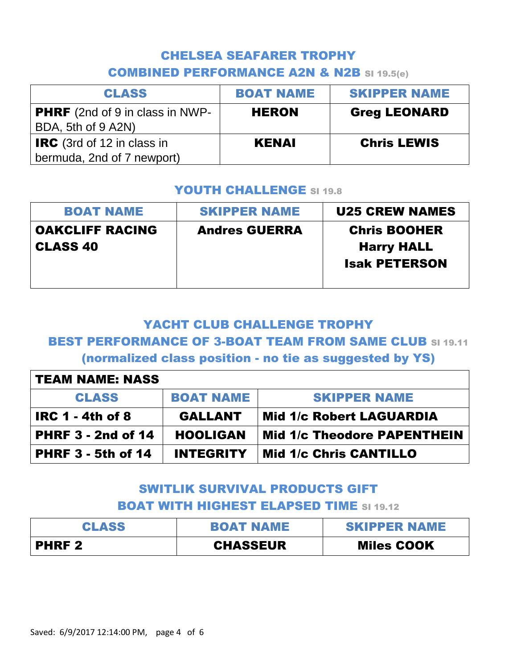# CHELSEA SEAFARER TROPHY COMBINED PERFORMANCE A2N & N2B SI 19.5(e)

| <b>CLASS</b>                                                    | <b>BOAT NAME</b> | <b>SKIPPER NAME</b> |
|-----------------------------------------------------------------|------------------|---------------------|
| <b>PHRF</b> (2nd of 9 in class in NWP-<br>BDA, 5th of 9 A2N)    | <b>HERON</b>     | <b>Greg LEONARD</b> |
| <b>IRC</b> (3rd of 12 in class in<br>bermuda, 2nd of 7 newport) | <b>KENAI</b>     | <b>Chris LEWIS</b>  |

#### YOUTH CHALLENGE SI 19.8

| <b>BOAT NAME</b>                          | <b>SKIPPER NAME</b>  | <b>U25 CREW NAMES</b>                                            |
|-------------------------------------------|----------------------|------------------------------------------------------------------|
| <b>OAKCLIFF RACING</b><br><b>CLASS 40</b> | <b>Andres GUERRA</b> | <b>Chris BOOHER</b><br><b>Harry HALL</b><br><b>Isak PETERSON</b> |

## YACHT CLUB CHALLENGE TROPHY

## BEST PERFORMANCE OF 3-BOAT TEAM FROM SAME CLUB SI 19.11

(normalized class position - no tie as suggested by YS)

| <b>TEAM NAME: NASS</b>    |                  |                                    |  |
|---------------------------|------------------|------------------------------------|--|
| <b>CLASS</b>              | <b>BOAT NAME</b> | <b>SKIPPER NAME</b>                |  |
| <b>IRC 1 - 4th of 8</b>   | <b>GALLANT</b>   | <b>Mid 1/c Robert LAGUARDIA</b>    |  |
| <b>PHRF 3 - 2nd of 14</b> | <b>HOOLIGAN</b>  | <b>Mid 1/c Theodore PAPENTHEIN</b> |  |
| <b>PHRF 3 - 5th of 14</b> | <b>INTEGRITY</b> | Mid 1/c Chris CANTILLO             |  |

# SWITLIK SURVIVAL PRODUCTS GIFT BOAT WITH HIGHEST ELAPSED TIME SI 19.12

| <b>CLASS</b> | <b>BOAT NAME</b> | <b>SKIPPER NAME</b> |
|--------------|------------------|---------------------|
| <b>PHRF2</b> | <b>CHASSEUR</b>  | <b>Miles COOK</b>   |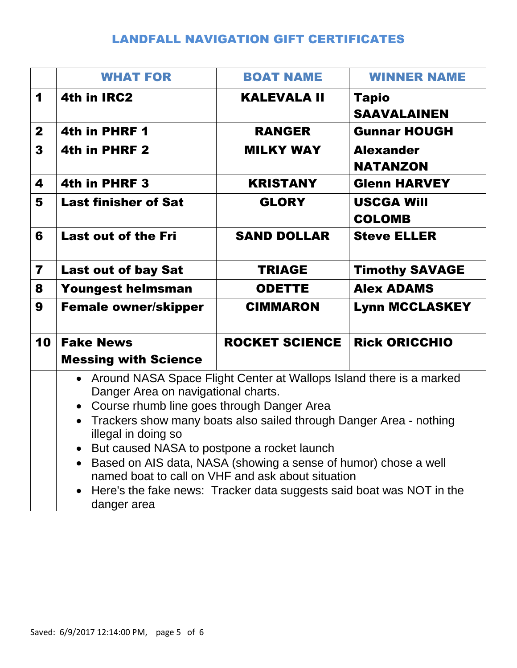# LANDFALL NAVIGATION GIFT CERTIFICATES

|                         | <b>WHAT FOR</b>                                                                                                                                                                                                                                                                                                                                                                                                                                                                                                       | <b>BOAT NAME</b>      | <b>WINNER NAME</b>                  |
|-------------------------|-----------------------------------------------------------------------------------------------------------------------------------------------------------------------------------------------------------------------------------------------------------------------------------------------------------------------------------------------------------------------------------------------------------------------------------------------------------------------------------------------------------------------|-----------------------|-------------------------------------|
| 1                       | 4th in IRC2                                                                                                                                                                                                                                                                                                                                                                                                                                                                                                           | <b>KALEVALA II</b>    | <b>Tapio</b><br><b>SAAVALAINEN</b>  |
| $\mathbf{2}$            | 4th in PHRF 1                                                                                                                                                                                                                                                                                                                                                                                                                                                                                                         | <b>RANGER</b>         | <b>Gunnar HOUGH</b>                 |
| $\mathbf{3}$            | 4th in PHRF 2                                                                                                                                                                                                                                                                                                                                                                                                                                                                                                         | <b>MILKY WAY</b>      | <b>Alexander</b><br><b>NATANZON</b> |
| 4                       | 4th in PHRF 3                                                                                                                                                                                                                                                                                                                                                                                                                                                                                                         | <b>KRISTANY</b>       | <b>Glenn HARVEY</b>                 |
| 5                       | <b>Last finisher of Sat</b>                                                                                                                                                                                                                                                                                                                                                                                                                                                                                           | <b>GLORY</b>          | <b>USCGA Will</b><br><b>COLOMB</b>  |
| 6                       | <b>Last out of the Fri</b>                                                                                                                                                                                                                                                                                                                                                                                                                                                                                            | <b>SAND DOLLAR</b>    | <b>Steve ELLER</b>                  |
| $\overline{\mathbf{z}}$ | <b>Last out of bay Sat</b>                                                                                                                                                                                                                                                                                                                                                                                                                                                                                            | <b>TRIAGE</b>         | <b>Timothy SAVAGE</b>               |
| 8                       | <b>Youngest helmsman</b>                                                                                                                                                                                                                                                                                                                                                                                                                                                                                              | <b>ODETTE</b>         | <b>Alex ADAMS</b>                   |
| 9                       | <b>Female owner/skipper</b>                                                                                                                                                                                                                                                                                                                                                                                                                                                                                           | <b>CIMMARON</b>       | <b>Lynn MCCLASKEY</b>               |
| 10                      | <b>Fake News</b>                                                                                                                                                                                                                                                                                                                                                                                                                                                                                                      | <b>ROCKET SCIENCE</b> | <b>Rick ORICCHIO</b>                |
|                         | <b>Messing with Science</b>                                                                                                                                                                                                                                                                                                                                                                                                                                                                                           |                       |                                     |
|                         | • Around NASA Space Flight Center at Wallops Island there is a marked<br>Danger Area on navigational charts.<br>Course rhumb line goes through Danger Area<br>Trackers show many boats also sailed through Danger Area - nothing<br>illegal in doing so<br>But caused NASA to postpone a rocket launch<br>Based on AIS data, NASA (showing a sense of humor) chose a well<br>named boat to call on VHF and ask about situation<br>Here's the fake news: Tracker data suggests said boat was NOT in the<br>danger area |                       |                                     |